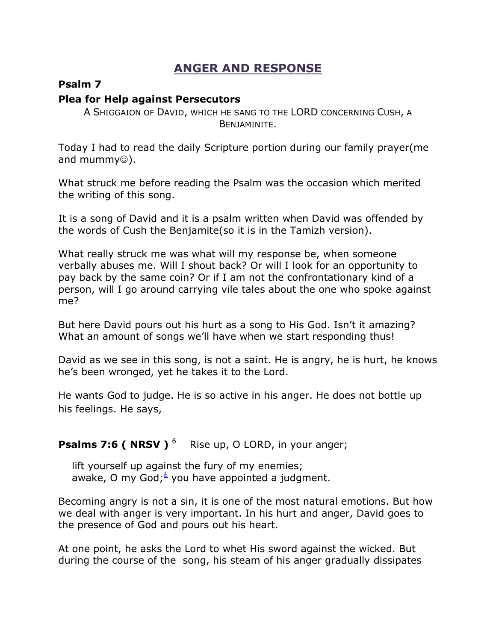## **ANGER AND RESPONSE**

## **Psalm 7**

## **Plea for Help against Persecutors**

A SHIGGAION OF DAVID, WHICH HE SANG TO THE LORD CONCERNING CUSH, A BENJAMINITE.

Today I had to read the daily Scripture portion during our family prayer(me and mummy $\circledcirc$ ).

What struck me before reading the Psalm was the occasion which merited the writing of this song.

It is a song of David and it is a psalm written when David was offended by the words of Cush the Benjamite(so it is in the Tamizh version).

What really struck me was what will my response be, when someone verbally abuses me. Will I shout back? Or will I look for an opportunity to pay back by the same coin? Or if I am not the confrontationary kind of a person, will I go around carrying vile tales about the one who spoke against me?

But here David pours out his hurt as a song to His God. Isn't it amazing? What an amount of songs we'll have when we start responding thus!

David as we see in this song, is not a saint. He is angry, he is hurt, he knows he's been wronged, yet he takes it to the Lord.

He wants God to judge. He is so active in his anger. He does not bottle up his feelings. He says,

## **Psalms 7:6 ( NRSV )**<sup>6</sup> Rise up, O LORD, in your anger;

 lift yourself up against the fury of my enemies; awake, O my God;<sup> $\leq$ </sup> you have appointed a judgment.

Becoming angry is not a sin, it is one of the most natural emotions. But how we deal with anger is very important. In his hurt and anger, David goes to the presence of God and pours out his heart.

At one point, he asks the Lord to whet His sword against the wicked. But during the course of the song, his steam of his anger gradually dissipates